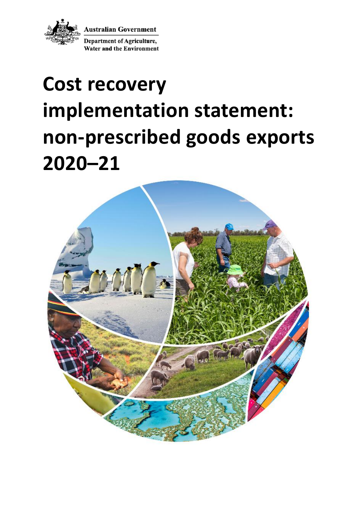

**Australian Government** 

**Department of Agriculture, Water and the Environment** 

# **Cost recovery implementation statement: non-prescribed goods exports 2020–21**

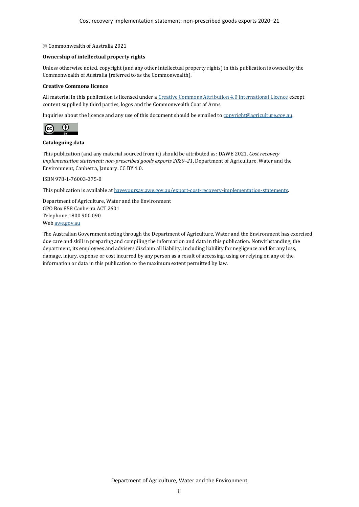#### © Commonwealth of Australia 2021

#### **Ownership of intellectual property rights**

Unless otherwise noted, copyright (and any other intellectual property rights) in this publication is owned by the Commonwealth of Australia (referred to as the Commonwealth).

#### **Creative Commons licence**

All material in this publication is licensed under [a Creative Commons Attribution 4.0 International Licence](https://creativecommons.org/licenses/by/4.0/legalcode) except content supplied by third parties, logos and the Commonwealth Coat of Arms.

Inquiries about the licence and any use of this document should be emailed t[o copyright@agriculture.gov.au.](mailto:copyright@agriculture.gov.au)



#### **Cataloguing data**

This publication (and any material sourced from it) should be attributed as: DAWE 2021, *Cost recovery implementation statement: non-prescribed goods exports 2020–21*, Department of Agriculture, Water and the Environment, Canberra, January. CC BY 4.0.

ISBN 978-1-76003-375-0

This publication is available at [haveyoursay.awe.gov.au/export-cost-recovery-implementation-statements.](file://///Act001cl04fs02/parliamentmedia$/ParliamentMedia/Corporate%20Communications/Production/Editors/Editing%202021/CRIS%20Jan/CRIS%20check/haveyoursay.awe.gov.au/export-cost-recovery-implementation-statements)

Department of Agriculture, Water and the Environment GPO Box 858 Canberra ACT 2601 Telephone 1800 900 090 We[b awe.gov.au](https://www.awe.gov.au/)

The Australian Government acting through the Department of Agriculture, Water and the Environment has exercised due care and skill in preparing and compiling the information and data in this publication. Notwithstanding, the department, its employees and advisers disclaim all liability, including liability for negligence and for any loss, damage, injury, expense or cost incurred by any person as a result of accessing, using or relying on any of the information or data in this publication to the maximum extent permitted by law.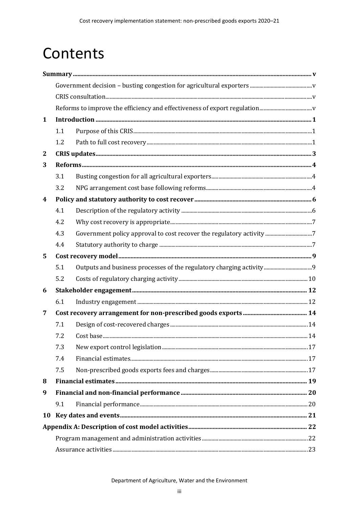## Contents

| $\mathbf{1}$     |     |  |  |  |  |
|------------------|-----|--|--|--|--|
|                  | 1.1 |  |  |  |  |
|                  | 1.2 |  |  |  |  |
| $\mathbf{2}$     |     |  |  |  |  |
| 3                |     |  |  |  |  |
|                  | 3.1 |  |  |  |  |
|                  | 3.2 |  |  |  |  |
| $\boldsymbol{4}$ |     |  |  |  |  |
|                  | 4.1 |  |  |  |  |
|                  | 4.2 |  |  |  |  |
|                  | 4.3 |  |  |  |  |
|                  | 4.4 |  |  |  |  |
| 5                |     |  |  |  |  |
|                  | 5.1 |  |  |  |  |
|                  | 5.2 |  |  |  |  |
| 6                |     |  |  |  |  |
|                  | 6.1 |  |  |  |  |
| 7                |     |  |  |  |  |
|                  | 7.1 |  |  |  |  |
|                  | 7.2 |  |  |  |  |
|                  | 7.3 |  |  |  |  |
|                  | 7.4 |  |  |  |  |
|                  | 7.5 |  |  |  |  |
| 8                |     |  |  |  |  |
| 9                |     |  |  |  |  |
|                  | 9.1 |  |  |  |  |
| 10               |     |  |  |  |  |
|                  |     |  |  |  |  |
|                  |     |  |  |  |  |
|                  |     |  |  |  |  |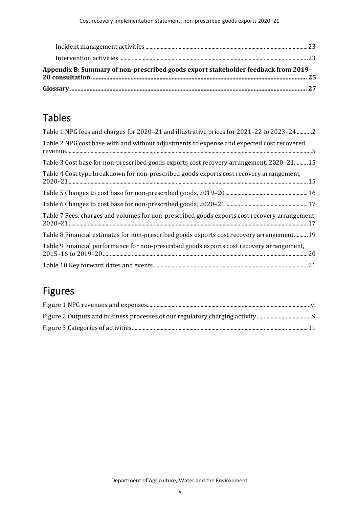| Appendix B: Summary of non-prescribed goods export stakeholder feedback from 2019- |  |
|------------------------------------------------------------------------------------|--|
|                                                                                    |  |

## Tables

| Table 1 NPG fees and charges for 2020-21 and illustrative prices for 2021-22 to 2023-24 2     |
|-----------------------------------------------------------------------------------------------|
| Table 2 NPG cost base with and without adjustments to expense and expected cost recovered     |
| Table 3 Cost base for non-prescribed goods exports cost recovery arrangement, 2020–2115       |
| Table 4 Cost type breakdown for non-prescribed goods exports cost recovery arrangement,       |
|                                                                                               |
|                                                                                               |
| Table 7 Fees, charges and volumes for non-prescribed goods exports cost recovery arrangement, |
| Table 8 Financial estimates for non-prescribed goods exports cost recovery arrangement 19     |
| Table 9 Financial performance for non-prescribed goods exports cost recovery arrangement,     |
|                                                                                               |

## Figures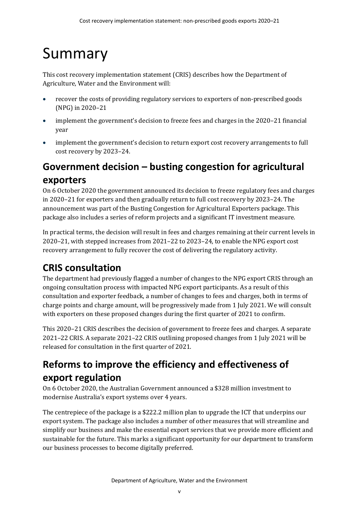# <span id="page-4-0"></span>Summary

This cost recovery implementation statement (CRIS) describes how the Department of Agriculture, Water and the Environment will:

- recover the costs of providing regulatory services to exporters of non-prescribed goods (NPG) in 2020–21
- implement the government's decision to freeze fees and charges in the 2020–21 financial year
- implement the government's decision to return export cost recovery arrangements to full cost recovery by 2023–24.

## <span id="page-4-1"></span>**Government decision – busting congestion for agricultural exporters**

On 6 October 2020 the government announced its decision to freeze regulatory fees and charges in 2020–21 for exporters and then gradually return to full cost recovery by 2023–24. The announcement was part of the Busting Congestion for Agricultural Exporters package. This package also includes a series of reform projects and a significant IT investment measure.

In practical terms, the decision will result in fees and charges remaining at their current levels in 2020–21, with stepped increases from 2021–22 to 2023–24, to enable the NPG export cost recovery arrangement to fully recover the cost of delivering the regulatory activity.

## <span id="page-4-2"></span>**CRIS consultation**

The department had previously flagged a number of changes to the NPG export CRIS through an ongoing consultation process with impacted NPG export participants. As a result of this consultation and exporter feedback, a number of changes to fees and charges, both in terms of charge points and charge amount, will be progressively made from 1 July 2021. We will consult with exporters on these proposed changes during the first quarter of 2021 to confirm.

This 2020–21 CRIS describes the decision of government to freeze fees and charges. A separate 2021–22 CRIS. A separate 2021–22 CRIS outlining proposed changes from 1 July 2021 will be released for consultation in the first quarter of 2021.

## <span id="page-4-3"></span>**Reforms to improve the efficiency and effectiveness of export regulation**

On 6 October 2020, the Australian Government announced a \$328 million investment to modernise Australia's export systems over 4 years.

The centrepiece of the package is a \$222.2 million plan to upgrade the ICT that underpins our export system. The package also includes a number of other measures that will streamline and simplify our business and make the essential export services that we provide more efficient and sustainable for the future. This marks a significant opportunity for our department to transform our business processes to become digitally preferred.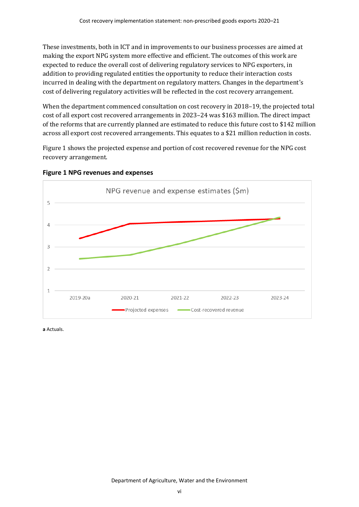These investments, both in ICT and in improvements to our business processes are aimed at making the export NPG system more effective and efficient. The outcomes of this work are expected to reduce the overall cost of delivering regulatory services to NPG exporters, in addition to providing regulated entities the opportunity to reduce their interaction costs incurred in dealing with the department on regulatory matters. Changes in the department's cost of delivering regulatory activities will be reflected in the cost recovery arrangement.

When the department commenced consultation on cost recovery in 2018–19, the projected total cost of all export cost recovered arrangements in 2023–24 was \$163 million. The direct impact of the reforms that are currently planned are estimated to reduce this future cost to \$142 million across all export cost recovered arrangements. This equates to a \$21 million reduction in costs.

[Figure 1](#page-5-0) shows the projected expense and portion of cost recovered revenue for the NPG cost recovery arrangement.



<span id="page-5-0"></span>**Figure 1 NPG revenues and expenses**

**a** Actuals.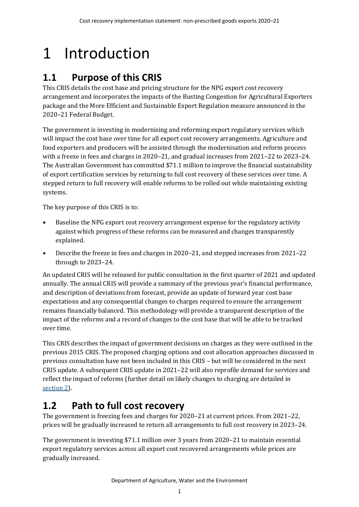# <span id="page-6-0"></span>1 Introduction

## <span id="page-6-1"></span>**1.1 Purpose of this CRIS**

This CRIS details the cost base and pricing structure for the NPG export cost recovery arrangement and incorporates the impacts of the Busting Congestion for Agricultural Exporters package and the More Efficient and Sustainable Export Regulation measure announced in the 2020–21 Federal Budget.

The government is investing in modernising and reforming export regulatory services which will impact the cost base over time for all export cost recovery arrangements. Agriculture and food exporters and producers will be assisted through the modernisation and reform process with a freeze in fees and charges in 2020–21, and gradual increases from 2021–22 to 2023–24. The Australian Government has committed \$71.1 million to improve the financial sustainability of export certification services by returning to full cost recovery of these services over time. A stepped return to full recovery will enable reforms to be rolled out while maintaining existing systems.

The key purpose of this CRIS is to:

- Baseline the NPG export cost recovery arrangement expense for the regulatory activity against which progress of these reforms can be measured and changes transparently explained.
- Describe the freeze in fees and charges in 2020–21, and stepped increases from 2021–22 through to 2023–24.

An updated CRIS will be released for public consultation in the first quarter of 2021 and updated annually. The annual CRIS will provide a summary of the previous year's financial performance, and description of deviations from forecast, provide an update of forward year cost base expectations and any consequential changes to charges required to ensure the arrangement remains financially balanced. This methodology will provide a transparent description of the impact of the reforms and a record of changes to the cost base that will be able to be tracked over time.

This CRIS describes the impact of government decisions on charges as they were outlined in the previous 2015 CRIS. The proposed charging options and cost allocation approaches discussed in previous consultation have not been included in this CRIS – but will be considered in the next CRIS update. A subsequent CRIS update in 2021–22 will also reprofile demand for services and reflect the impact of reforms (further detail on likely changes to charging are detailed in [section](#page-8-0) 2).

## <span id="page-6-2"></span>**1.2 Path to full cost recovery**

The government is freezing fees and charges for 2020–21 at current prices. From 2021–22, prices will be gradually increased to return all arrangements to full cost recovery in 2023–24.

The government is investing \$71.1 million over 3 years from 2020–21 to maintain essential export regulatory services across all export cost recovered arrangements while prices are gradually increased.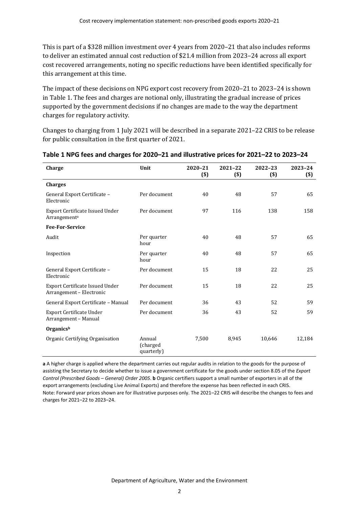This is part of a \$328 million investment over 4 years from 2020–21 that also includes reforms to deliver an estimated annual cost reduction of \$21.4 million from 2023–24 across all export cost recovered arrangements, noting no specific reductions have been identified specifically for this arrangement at this time.

The impact of these decisions on NPG export cost recovery from 2020–21 to 2023–24 is shown i[n Table 1.](#page-7-0) The fees and charges are notional only, illustrating the gradual increase of prices supported by the government decisions if no changes are made to the way the department charges for regulatory activity.

Changes to charging from 1 July 2021 will be described in a separate 2021–22 CRIS to be release for public consultation in the first quarter of 2021.

| Charge                                                             | Unit                             | 2020-21<br>$($ \$) | 2021-22<br>$($)$ | 2022-23<br>$($)$ | 2023-24<br>$($)$ |
|--------------------------------------------------------------------|----------------------------------|--------------------|------------------|------------------|------------------|
| <b>Charges</b>                                                     |                                  |                    |                  |                  |                  |
| General Export Certificate -<br>Electronic                         | Per document                     | 40                 | 48               | 57               | 65               |
| Export Certificate Issued Under<br>Arrangementa                    | Per document                     | 97                 | 116              | 138              | 158              |
| <b>Fee-For-Service</b>                                             |                                  |                    |                  |                  |                  |
| Audit                                                              | Per quarter<br>hour              | 40                 | 48               | 57               | 65               |
| Inspection                                                         | Per quarter<br>hour              | 40                 | 48               | 57               | 65               |
| General Export Certificate -<br>Electronic                         | Per document                     | 15                 | 18               | 22               | 25               |
| <b>Export Certificate Issued Under</b><br>Arrangement - Electronic | Per document                     | 15                 | 18               | 22               | 25               |
| General Export Certificate - Manual                                | Per document                     | 36                 | 43               | 52               | 59               |
| Export Certificate Under<br>Arrangement – Manual                   | Per document                     | 36                 | 43               | 52               | 59               |
| Organicsb                                                          |                                  |                    |                  |                  |                  |
| Organic Certifying Organisation                                    | Annual<br>(charged<br>quarterly) | 7,500              | 8,945            | 10,646           | 12,184           |

#### <span id="page-7-0"></span>**Table 1 NPG fees and charges for 2020–21 and illustrative prices for 2021–22 to 2023–24**

**a** A higher charge is applied where the department carries out regular audits in relation to the goods for the purpose of assisting the Secretary to decide whether to issue a government certificate for the goods under section 8.05 of the *Export Control (Prescribed Goods* – *General) Order 2005*. **b** Organic certifiers support a small number of exporters in all of the export arrangements (excluding Live Animal Exports) and therefore the expense has been reflected in each CRIS. Note: Forward year prices shown are for illustrative purposes only. The 2021–22 CRIS will describe the changes to fees and charges for 2021–22 to 2023–24.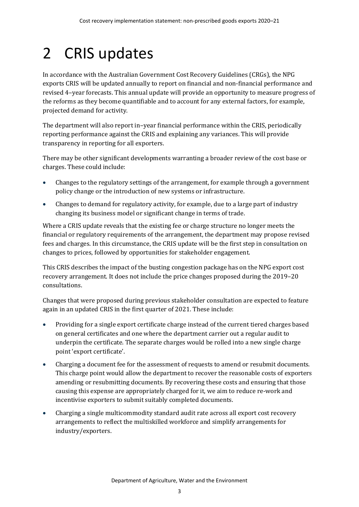# <span id="page-8-0"></span>2 CRIS updates

In accordance with the Australian Government Cost Recovery Guidelines (CRGs), the NPG exports CRIS will be updated annually to report on financial and non-financial performance and revised 4–year forecasts. This annual update will provide an opportunity to measure progress of the reforms as they become quantifiable and to account for any external factors, for example, projected demand for activity.

The department will also report in–year financial performance within the CRIS, periodically reporting performance against the CRIS and explaining any variances. This will provide transparency in reporting for all exporters.

There may be other significant developments warranting a broader review of the cost base or charges. These could include:

- Changes to the regulatory settings of the arrangement, for example through a government policy change or the introduction of new systems or infrastructure.
- Changes to demand for regulatory activity, for example, due to a large part of industry changing its business model or significant change in terms of trade.

Where a CRIS update reveals that the existing fee or charge structure no longer meets the financial or regulatory requirements of the arrangement, the department may propose revised fees and charges. In this circumstance, the CRIS update will be the first step in consultation on changes to prices, followed by opportunities for stakeholder engagement.

This CRIS describes the impact of the busting congestion package has on the NPG export cost recovery arrangement. It does not include the price changes proposed during the 2019–20 consultations.

Changes that were proposed during previous stakeholder consultation are expected to feature again in an updated CRIS in the first quarter of 2021. These include:

- Providing for a single export certificate charge instead of the current tiered charges based on general certificates and one where the department carrier out a regular audit to underpin the certificate. The separate charges would be rolled into a new single charge point 'export certificate'.
- Charging a document fee for the assessment of requests to amend or resubmit documents. This charge point would allow the department to recover the reasonable costs of exporters amending or resubmitting documents. By recovering these costs and ensuring that those causing this expense are appropriately charged for it, we aim to reduce re-work and incentivise exporters to submit suitably completed documents.
- Charging a single multicommodity standard audit rate across all export cost recovery arrangements to reflect the multiskilled workforce and simplify arrangements for industry/exporters.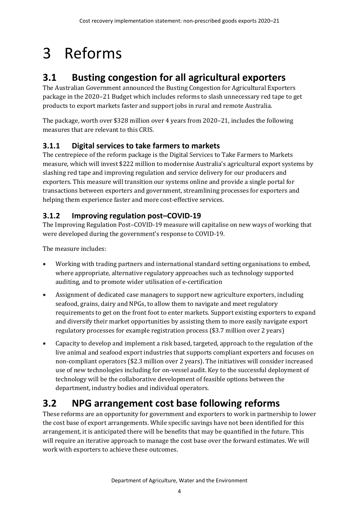# <span id="page-9-0"></span>3 Reforms

## <span id="page-9-1"></span>**3.1 Busting congestion for all agricultural exporters**

The Australian Government announced the Busting Congestion for Agricultural Exporters package in the 2020–21 Budget which includes reforms to slash unnecessary red tape to get products to export markets faster and support jobs in rural and remote Australia.

The package, worth over \$328 million over 4 years from 2020–21, includes the following measures that are relevant to this CRIS.

### **3.1.1 Digital services to take farmers to markets**

The centrepiece of the reform package is the Digital Services to Take Farmers to Markets measure, which will invest \$222 million to modernise Australia's agricultural export systems by slashing red tape and improving regulation and service delivery for our producers and exporters. This measure will transition our systems online and provide a single portal for transactions between exporters and government, streamlining processes for exporters and helping them experience faster and more cost-effective services.

### **3.1.2 Improving regulation post–COVID-19**

The Improving Regulation Post–COVID-19 measure will capitalise on new ways of working that were developed during the government's response to COVID-19.

The measure includes:

- Working with trading partners and international standard setting organisations to embed, where appropriate, alternative regulatory approaches such as technology supported auditing, and to promote wider utilisation of e-certification
- Assignment of dedicated case managers to support new agriculture exporters, including seafood, grains, dairy and NPGs, to allow them to navigate and meet regulatory requirements to get on the front foot to enter markets. Support existing exporters to expand and diversify their market opportunities by assisting them to more easily navigate export regulatory processes for example registration process (\$3.7 million over 2 years)
- Capacity to develop and implement a risk based, targeted, approach to the regulation of the live animal and seafood export industries that supports compliant exporters and focuses on non-compliant operators (\$2.3 million over 2 years). The initiatives will consider increased use of new technologies including for on-vessel audit. Key to the successful deployment of technology will be the collaborative development of feasible options between the department, industry bodies and individual operators.

## <span id="page-9-2"></span>**3.2 NPG arrangement cost base following reforms**

These reforms are an opportunity for government and exporters to work in partnership to lower the cost base of export arrangements. While specific savings have not been identified for this arrangement, it is anticipated there will be benefits that may be quantified in the future. This will require an iterative approach to manage the cost base over the forward estimates. We will work with exporters to achieve these outcomes.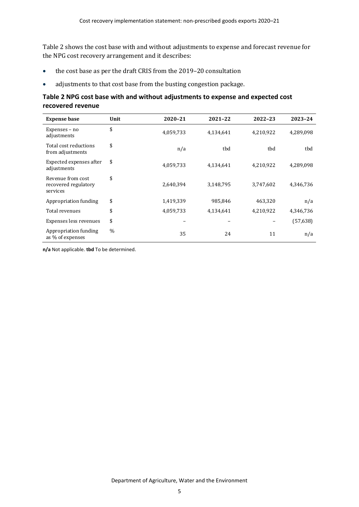[Table 2](#page-10-0) shows the cost base with and without adjustments to expense and forecast revenue for the NPG cost recovery arrangement and it describes:

- the cost base as per the draft CRIS from the 2019–20 consultation
- adjustments to that cost base from the busting congestion package.

#### <span id="page-10-0"></span>**Table 2 NPG cost base with and without adjustments to expense and expected cost recovered revenue**

| <b>Expense base</b>                                   | Unit | 2020-21   | 2021-22   | 2022-23   | 2023-24   |
|-------------------------------------------------------|------|-----------|-----------|-----------|-----------|
| Expenses - no<br>adjustments                          | \$   | 4,059,733 | 4,134,641 | 4,210,922 | 4,289,098 |
| Total cost reductions<br>from adjustments             | \$   | n/a       | tbd       | tbd       | tbd       |
| Expected expenses after<br>adjustments                | \$   | 4,059,733 | 4,134,641 | 4,210,922 | 4,289,098 |
| Revenue from cost<br>recovered regulatory<br>services | \$   | 2,640,394 | 3,148,795 | 3,747,602 | 4,346,736 |
| Appropriation funding                                 | \$   | 1,419,339 | 985,846   | 463,320   | n/a       |
| Total revenues                                        | \$   | 4,059,733 | 4,134,641 | 4,210,922 | 4,346,736 |
| Expenses less revenues                                | \$   |           |           |           | (57, 638) |
| Appropriation funding<br>as % of expenses             | $\%$ | 35        | 24        | 11        | n/a       |

**n/a** Not applicable. **tbd** To be determined.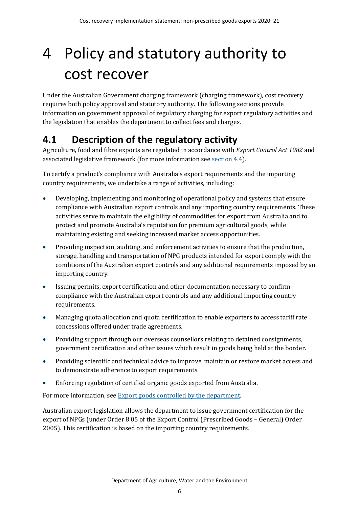# <span id="page-11-0"></span>4 Policy and statutory authority to cost recover

Under the Australian Government charging framework (charging framework), cost recovery requires both policy approval and statutory authority. The following sections provide information on government approval of regulatory charging for export regulatory activities and the legislation that enables the department to collect fees and charges.

## <span id="page-11-1"></span>**4.1 Description of the regulatory activity**

Agriculture, food and fibre exports are regulated in accordance with *Export Control Act 1982* and associated legislative framework (for more information see [section 4.4\)](#page-12-2).

To certify a product's compliance with Australia's export requirements and the importing country requirements, we undertake a range of activities, including:

- Developing, implementing and monitoring of operational policy and systems that ensure compliance with Australian export controls and any importing country requirements. These activities serve to maintain the eligibility of commodities for export from Australia and to protect and promote Australia's reputation for premium agricultural goods, while maintaining existing and seeking increased market access opportunities.
- Providing inspection, auditing, and enforcement activities to ensure that the production, storage, handling and transportation of NPG products intended for export comply with the conditions of the Australian export controls and any additional requirements imposed by an importing country.
- Issuing permits, export certification and other documentation necessary to confirm compliance with the Australian export controls and any additional importing country requirements.
- Managing quota allocation and quota certification to enable exporters to access tariff rate concessions offered under trade agreements.
- Providing support through our overseas counsellors relating to detained consignments, government certification and other issues which result in goods being held at the border.
- Providing scientific and technical advice to improve, maintain or restore market access and to demonstrate adherence to export requirements.
- Enforcing regulation of certified organic goods exported from Australia.

For more information, se[e Export goods controlled by the department.](https://www.agriculture.gov.au/export/controlled-goods)

Australian export legislation allows the department to issue government certification for the export of NPGs (under Order 8.05 of the Export Control (Prescribed Goods – General) Order 2005). This certification is based on the importing country requirements.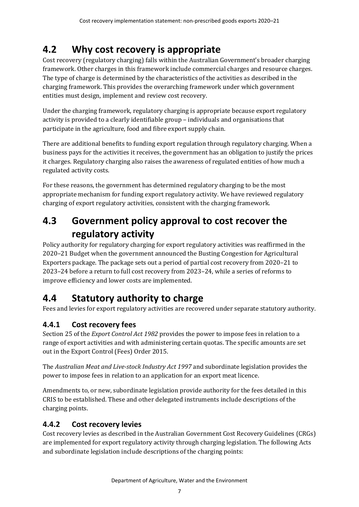## <span id="page-12-0"></span>**4.2 Why cost recovery is appropriate**

Cost recovery (regulatory charging) falls within the Australian Government's broader charging framework. Other charges in this framework include commercial charges and resource charges. The type of charge is determined by the characteristics of the activities as described in the charging framework. This provides the overarching framework under which government entities must design, implement and review cost recovery.

Under the charging framework, regulatory charging is appropriate because export regulatory activity is provided to a clearly identifiable group – individuals and organisations that participate in the agriculture, food and fibre export supply chain.

There are additional benefits to funding export regulation through regulatory charging. When a business pays for the activities it receives, the government has an obligation to justify the prices it charges. Regulatory charging also raises the awareness of regulated entities of how much a regulated activity costs.

For these reasons, the government has determined regulatory charging to be the most appropriate mechanism for funding export regulatory activity. We have reviewed regulatory charging of export regulatory activities, consistent with the charging framework.

## <span id="page-12-1"></span>**4.3 Government policy approval to cost recover the regulatory activity**

Policy authority for regulatory charging for export regulatory activities was reaffirmed in the 2020–21 Budget when the government announced the Busting Congestion for Agricultural Exporters package. The package sets out a period of partial cost recovery from 2020–21 to 2023–24 before a return to full cost recovery from 2023–24, while a series of reforms to improve efficiency and lower costs are implemented.

## <span id="page-12-2"></span>**4.4 Statutory authority to charge**

Fees and levies for export regulatory activities are recovered under separate statutory authority.

### **4.4.1 Cost recovery fees**

Section 25 of the *Export Control Act 1982* provides the power to impose fees in relation to a range of export activities and with administering certain quotas. The specific amounts are set out in the Export Control (Fees) Order 2015.

The *Australian Meat and Live-stock Industry Act 1997* and subordinate legislation provides the power to impose fees in relation to an application for an export meat licence.

Amendments to, or new, subordinate legislation provide authority for the fees detailed in this CRIS to be established. These and other delegated instruments include descriptions of the charging points.

### **4.4.2 Cost recovery levies**

Cost recovery levies as described in the Australian Government Cost Recovery Guidelines (CRGs) are implemented for export regulatory activity through charging legislation. The following Acts and subordinate legislation include descriptions of the charging points: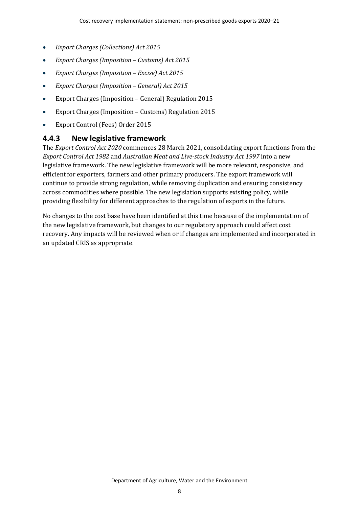- *Export Charges (Collections) Act 2015*
- *Export Charges (Imposition Customs) Act 2015*
- *Export Charges (Imposition Excise) Act 2015*
- *Export Charges (Imposition General) Act 2015*
- Export Charges (Imposition General) Regulation 2015
- Export Charges (Imposition Customs) Regulation 2015
- Export Control (Fees) Order 2015

#### **4.4.3 New legislative framework**

The *Export Control Act 2020* commences 28 March 2021, consolidating export functions from the *Export Control Act 1982* and *Australian Meat and Live-stock Industry Act 1997* into a new legislative framework. The new legislative framework will be more relevant, responsive, and efficient for exporters, farmers and other primary producers. The export framework will continue to provide strong regulation, while removing duplication and ensuring consistency across commodities where possible. The new legislation supports existing policy, while providing flexibility for different approaches to the regulation of exports in the future.

No changes to the cost base have been identified at this time because of the implementation of the new legislative framework, but changes to our regulatory approach could affect cost recovery. Any impacts will be reviewed when or if changes are implemented and incorporated in an updated CRIS as appropriate.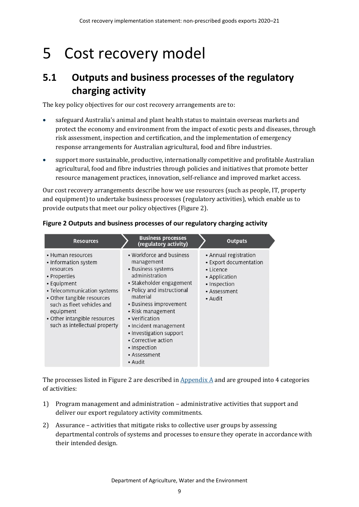## <span id="page-14-0"></span>5 Cost recovery model

### <span id="page-14-1"></span>**5.1 Outputs and business processes of the regulatory charging activity**

The key policy objectives for our cost recovery arrangements are to:

- safeguard Australia's animal and plant health status to maintain overseas markets and protect the economy and environment from the impact of exotic pests and diseases, through risk assessment, inspection and certification, and the implementation of emergency response arrangements for Australian agricultural, food and fibre industries.
- support more sustainable, productive, internationally competitive and profitable Australian agricultural, food and fibre industries through policies and initiatives that promote better resource management practices, innovation, self-reliance and improved market access.

Our cost recovery arrangements describe how we use resources (such as people, IT, property and equipment) to undertake business processes (regulatory activities), which enable us to provide outputs that meet our policy objectives [\(Figure 2\)](#page-14-2).

| <b>Resources</b>                                                                                                                                                                                                                                               | <b>Business processes</b><br>(regulatory activity)                                                                                                                                                                                                                                                                                          | <b>Outputs</b>                                                                                                                   |
|----------------------------------------------------------------------------------------------------------------------------------------------------------------------------------------------------------------------------------------------------------------|---------------------------------------------------------------------------------------------------------------------------------------------------------------------------------------------------------------------------------------------------------------------------------------------------------------------------------------------|----------------------------------------------------------------------------------------------------------------------------------|
| • Human resources<br>• Information system<br>resources<br>• Properties<br>• Equipment<br>• Telecommunication systems<br>• Other tangible resources<br>such as fleet vehicles and<br>equipment<br>• Other intangible resources<br>such as intellectual property | • Workforce and business<br>management<br>• Business systems<br>administration<br>• Stakeholder engagement<br>• Policy and instructional<br>material<br>• Business improvement<br>• Risk management<br>• Verification<br>· Incident management<br>• Investigation support<br>• Corrective action<br>• Inspection<br>• Assessment<br>• Audit | • Annual registration<br>• Export documentation<br>$\bullet$ Licence<br>• Application<br>· Inspection<br>• Assessment<br>• Audit |

#### <span id="page-14-2"></span>**Figure 2 Outputs and business processes of our regulatory charging activity**

The processes listed in [Figure 2](#page-14-2) are described in  $\Delta$  Appendix  $\Delta$  and are grouped into 4 categories of activities:

- 1) Program management and administration administrative activities that support and deliver our export regulatory activity commitments.
- 2) Assurance activities that mitigate risks to collective user groups by assessing departmental controls of systems and processes to ensure they operate in accordance with their intended design.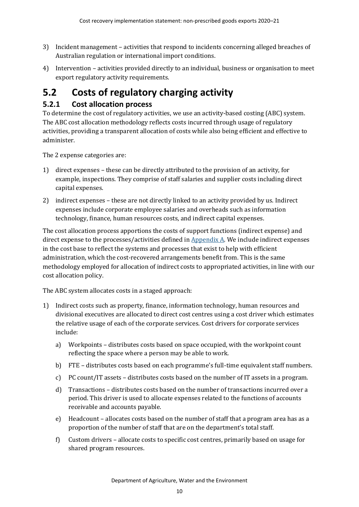- 3) Incident management activities that respond to incidents concerning alleged breaches of Australian regulation or international import conditions.
- 4) Intervention activities provided directly to an individual, business or organisation to meet export regulatory activity requirements.

## <span id="page-15-0"></span>**5.2 Costs of regulatory charging activity**

### **5.2.1 Cost allocation process**

To determine the cost of regulatory activities, we use an activity-based costing (ABC) system. The ABC cost allocation methodology reflects costs incurred through usage of regulatory activities, providing a transparent allocation of costs while also being efficient and effective to administer.

The 2 expense categories are:

- 1) direct expenses these can be directly attributed to the provision of an activity, for example, inspections. They comprise of staff salaries and supplier costs including direct capital expenses.
- 2) indirect expenses these are not directly linked to an activity provided by us. Indirect expenses include corporate employee salaries and overheads such as information technology, finance, human resources costs, and indirect capital expenses.

The cost allocation process apportions the costs of support functions (indirect expense) and direct expense to the processes/activities defined in  $Appendix A$ . We include indirect expenses in the cost base to reflect the systems and processes that exist to help with efficient administration, which the cost-recovered arrangements benefit from. This is the same methodology employed for allocation of indirect costs to appropriated activities, in line with our cost allocation policy.

The ABC system allocates costs in a staged approach:

- 1) Indirect costs such as property, finance, information technology, human resources and divisional executives are allocated to direct cost centres using a cost driver which estimates the relative usage of each of the corporate services. Cost drivers for corporate services include:
	- a) Workpoints distributes costs based on space occupied, with the workpoint count reflecting the space where a person may be able to work.
	- b) FTE distributes costs based on each programme's full-time equivalent staff numbers.
	- c) PC count/IT assets distributes costs based on the number of IT assets in a program.
	- d) Transactions distributes costs based on the number of transactions incurred over a period. This driver is used to allocate expenses related to the functions of accounts receivable and accounts payable.
	- e) Headcount allocates costs based on the number of staff that a program area has as a proportion of the number of staff that are on the department's total staff.
	- f) Custom drivers allocate costs to specific cost centres, primarily based on usage for shared program resources.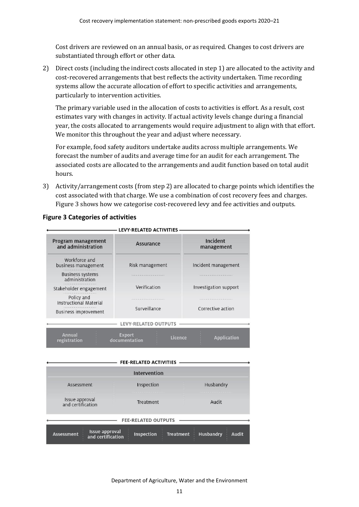Cost drivers are reviewed on an annual basis, or as required. Changes to cost drivers are substantiated through effort or other data.

2) Direct costs (including the indirect costs allocated in step 1) are allocated to the activity and cost-recovered arrangements that best reflects the activity undertaken. Time recording systems allow the accurate allocation of effort to specific activities and arrangements, particularly to intervention activities.

The primary variable used in the allocation of costs to activities is effort. As a result, cost estimates vary with changes in activity. If actual activity levels change during a financial year, the costs allocated to arrangements would require adjustment to align with that effort. We monitor this throughout the year and adjust where necessary.

For example, food safety auditors undertake audits across multiple arrangements. We forecast the number of audits and average time for an audit for each arrangement. The associated costs are allocated to the arrangements and audit function based on total audit hours.

3) Activity/arrangement costs (from step 2) are allocated to charge points which identifies the cost associated with that charge. We use a combination of cost recovery fees and charges. [Figure 3](#page-16-0) shows how we categorise cost-recovered levy and fee activities and outputs.

|                                                                                                  | <b>LEVY-RELATED ACTIVITIES</b> |                                              |  |  |
|--------------------------------------------------------------------------------------------------|--------------------------------|----------------------------------------------|--|--|
| Program management<br>and administration                                                         | Assurance                      | Incident<br>management                       |  |  |
| Workforce and<br>business management                                                             | Risk management                | Incident management<br>Investigation support |  |  |
| <b>Business systems</b><br>administration                                                        |                                |                                              |  |  |
| Stakeholder engagement                                                                           | Verification                   |                                              |  |  |
| Policy and<br><b>Instructional Material</b>                                                      | Surveillance                   | Corrective action                            |  |  |
| <b>Business improvement</b>                                                                      |                                |                                              |  |  |
|                                                                                                  | <b>LEVY-RELATED OUTPUTS</b>    |                                              |  |  |
| <b>Annual</b><br><b>Export</b><br>Licence<br><b>Application</b><br>documentation<br>registration |                                |                                              |  |  |
|                                                                                                  |                                |                                              |  |  |
|                                                                                                  | <b>FEE-RELATED ACTIVITIES</b>  |                                              |  |  |
| Intervention                                                                                     |                                |                                              |  |  |

#### <span id="page-16-0"></span>**Figure 3 Categories of activities**

| <b>FEE-RELATED ACTIVITIES</b>                                   |                   |                                                      |  |  |  |
|-----------------------------------------------------------------|-------------------|------------------------------------------------------|--|--|--|
|                                                                 | Intervention      |                                                      |  |  |  |
| Assessment                                                      | Inspection        | Husbandry                                            |  |  |  |
| Issue approval<br>and certification                             | Treatment         | Audit                                                |  |  |  |
| <b>FEE-RELATED OUTPUTS</b>                                      |                   |                                                      |  |  |  |
| <b>Issue approval</b><br><b>Assessment</b><br>and certification | <b>Inspection</b> | <b>Husbandry</b><br><b>Treatment</b><br><b>Audit</b> |  |  |  |

Department of Agriculture, Water and the Environment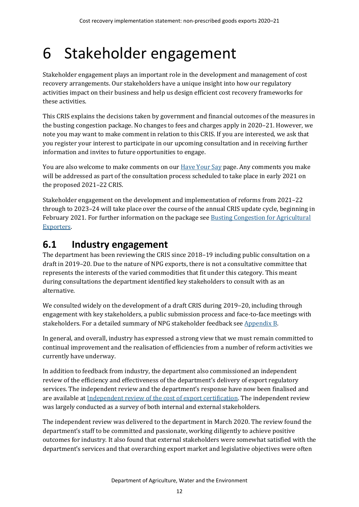# <span id="page-17-0"></span>6 Stakeholder engagement

Stakeholder engagement plays an important role in the development and management of cost recovery arrangements. Our stakeholders have a unique insight into how our regulatory activities impact on their business and help us design efficient cost recovery frameworks for these activities.

This CRIS explains the decisions taken by government and financial outcomes of the measures in the busting congestion package. No changes to fees and charges apply in 2020–21. However, we note you may want to make comment in relation to this CRIS. If you are interested, we ask that you register your interest to participate in our upcoming consultation and in receiving further information and invites to future opportunities to engage.

You are also welcome to make comments on our **Have Your Say page.** Any comments you make will be addressed as part of the consultation process scheduled to take place in early 2021 on the proposed 2021–22 CRIS.

Stakeholder engagement on the development and implementation of reforms from 2021–22 through to 2023–24 will take place over the course of the annual CRIS update cycle, beginning in February 2021. For further information on the package se[e Busting Congestion for Agricultural](https://minister.awe.gov.au/littleproud/media-releases/budget-2020-21-backing-farmers-supporting-disaster-recovery-protecting-australians)  [Exporters.](https://minister.awe.gov.au/littleproud/media-releases/budget-2020-21-backing-farmers-supporting-disaster-recovery-protecting-australians)

### <span id="page-17-1"></span>**6.1 Industry engagement**

The department has been reviewing the CRIS since 2018–19 including public consultation on a draft in 2019–20. Due to the nature of NPG exports, there is not a consultative committee that represents the interests of the varied commodities that fit under this category. This meant during consultations the department identified key stakeholders to consult with as an alternative.

We consulted widely on the development of a draft CRIS during 2019–20, including through engagement with key stakeholders, a public submission process and face-to-face meetings with stakeholders. For a detailed summary of NPG stakeholder feedback se[e Appendix B.](#page-30-0)

In general, and overall, industry has expressed a strong view that we must remain committed to continual improvement and the realisation of efficiencies from a number of reform activities we currently have underway.

In addition to feedback from industry, the department also commissioned an independent review of the efficiency and effectiveness of the department's delivery of export regulatory services. The independent review and the department's response have now been finalised and are available a[t Independent review of the cost of export certification.](https://www.agriculture.gov.au/fees/cost-recovery/independent-review-cost-export-certification) The independent review was largely conducted as a survey of both internal and external stakeholders.

The independent review was delivered to the department in March 2020. The review found the department's staff to be committed and passionate, working diligently to achieve positive outcomes for industry. It also found that external stakeholders were somewhat satisfied with the department's services and that overarching export market and legislative objectives were often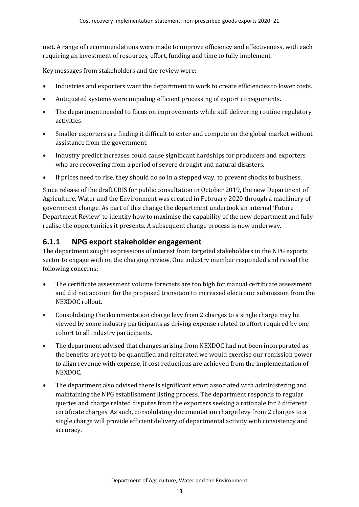met. A range of recommendations were made to improve efficiency and effectiveness, with each requiring an investment of resources, effort, funding and time to fully implement.

Key messages from stakeholders and the review were:

- Industries and exporters want the department to work to create efficiencies to lower costs.
- Antiquated systems were impeding efficient processing of export consignments.
- The department needed to focus on improvements while still delivering routine regulatory activities.
- Smaller exporters are finding it difficult to enter and compete on the global market without assistance from the government.
- Industry predict increases could cause significant hardships for producers and exporters who are recovering from a period of severe drought and natural disasters.
- If prices need to rise, they should do so in a stepped way, to prevent shocks to business.

Since release of the draft CRIS for public consultation in October 2019, the new Department of Agriculture, Water and the Environment was created in February 2020 through a machinery of government change. As part of this change the department undertook an internal 'Future Department Review' to identify how to maximise the capability of the new department and fully realise the opportunities it presents. A subsequent change process is now underway.

#### **6.1.1 NPG export stakeholder engagement**

The department sought expressions of interest from targeted stakeholders in the NPG exports sector to engage with on the charging review. One industry member responded and raised the following concerns:

- The certificate assessment volume forecasts are too high for manual certificate assessment and did not account for the proposed transition to increased electronic submission from the NEXDOC rollout.
- Consolidating the documentation charge levy from 2 charges to a single charge may be viewed by some industry participants as driving expense related to effort required by one cohort to all industry participants.
- The department advised that changes arising from NEXDOC had not been incorporated as the benefits are yet to be quantified and reiterated we would exercise our remission power to align revenue with expense, if cost reductions are achieved from the implementation of NEXDOC.
- The department also advised there is significant effort associated with administering and maintaining the NPG establishment listing process. The department responds to regular queries and charge related disputes from the exporters seeking a rationale for 2 different certificate charges. As such, consolidating documentation charge levy from 2 charges to a single charge will provide efficient delivery of departmental activity with consistency and accuracy.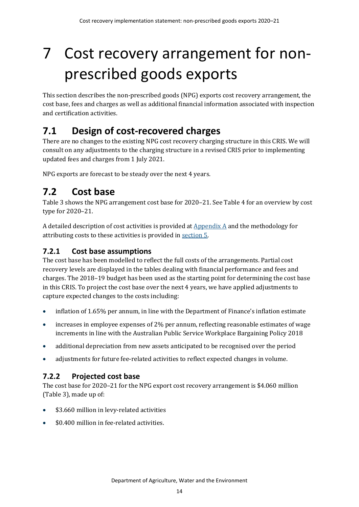# <span id="page-19-0"></span>7 Cost recovery arrangement for nonprescribed goods exports

This section describes the non-prescribed goods (NPG) exports cost recovery arrangement, the cost base, fees and charges as well as additional financial information associated with inspection and certification activities.

## <span id="page-19-1"></span>**7.1 Design of cost-recovered charges**

There are no changes to the existing NPG cost recovery charging structure in this CRIS. We will consult on any adjustments to the charging structure in a revised CRIS prior to implementing updated fees and charges from 1 July 2021.

NPG exports are forecast to be steady over the next 4 years.

## <span id="page-19-2"></span>**7.2 Cost base**

[Table 3](#page-20-0) shows the NPG arrangement cost base for 2020–21. Se[e Table 4](#page-20-1) for an overview by cost type for 2020–21.

A detailed description of cost activities is provided a[t Appendix A](#page-27-0) and the methodology for attributing costs to these activities is provided in [section 5.](#page-14-0)

### **7.2.1 Cost base assumptions**

The cost base has been modelled to reflect the full costs of the arrangements. Partial cost recovery levels are displayed in the tables dealing with financial performance and fees and charges. The 2018–19 budget has been used as the starting point for determining the cost base in this CRIS. To project the cost base over the next 4 years, we have applied adjustments to capture expected changes to the costs including:

- inflation of 1.65% per annum, in line with the Department of Finance's inflation estimate
- increases in employee expenses of 2% per annum, reflecting reasonable estimates of wage increments in line with the Australian Public Service Workplace Bargaining Policy 2018
- additional depreciation from new assets anticipated to be recognised over the period
- adjustments for future fee-related activities to reflect expected changes in volume.

### **7.2.2 Projected cost base**

The cost base for 2020–21 for the NPG export cost recovery arrangement is \$4.060 million [\(Table 3\)](#page-20-0), made up of:

- \$3.660 million in levy-related activities
- \$0.400 million in fee-related activities.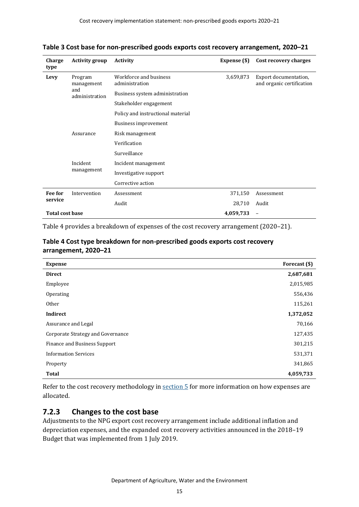| Charge<br>type         | <b>Activity group</b>                          | <b>Activity</b>                          | Expense (\$) | Cost recovery charges                              |
|------------------------|------------------------------------------------|------------------------------------------|--------------|----------------------------------------------------|
| Levy                   | Program<br>management<br>and<br>administration | Workforce and business<br>administration | 3,659,873    | Export documentation,<br>and organic certification |
|                        |                                                | Business system administration           |              |                                                    |
|                        |                                                | Stakeholder engagement                   |              |                                                    |
|                        |                                                | Policy and instructional material        |              |                                                    |
|                        |                                                | Business improvement                     |              |                                                    |
|                        | Assurance                                      | Risk management                          |              |                                                    |
|                        |                                                | Verification                             |              |                                                    |
|                        |                                                | Surveillance                             |              |                                                    |
|                        | Incident<br>management                         | Incident management                      |              |                                                    |
|                        |                                                | Investigative support                    |              |                                                    |
|                        |                                                | Corrective action                        |              |                                                    |
| Fee for                | Intervention                                   | Assessment                               | 371,150      | Assessment                                         |
| service                |                                                | Audit                                    | 28,710       | Audit                                              |
| <b>Total cost base</b> |                                                |                                          | 4,059,733    | -                                                  |

<span id="page-20-0"></span>**Table 3 Cost base for non-prescribed goods exports cost recovery arrangement, 2020–21**

[Table 4](#page-20-1) provides a breakdown of expenses of the cost recovery arrangement (2020–21).

<span id="page-20-1"></span>

| Table 4 Cost type breakdown for non-prescribed goods exports cost recovery |
|----------------------------------------------------------------------------|
| arrangement, 2020–21                                                       |

| <b>Expense</b>                    | Forecast (\$) |
|-----------------------------------|---------------|
| <b>Direct</b>                     | 2,687,681     |
| Employee                          | 2,015,985     |
| Operating                         | 556,436       |
| <b>Other</b>                      | 115,261       |
| Indirect                          | 1,372,052     |
| Assurance and Legal               | 70,166        |
| Corporate Strategy and Governance | 127,435       |
| Finance and Business Support      | 301,215       |
| <b>Information Services</b>       | 531,371       |
| Property                          | 341,865       |
| Total                             | 4,059,733     |

Refer to the cost recovery methodology in [section 5](#page-14-0) for more information on how expenses are allocated.

### **7.2.3 Changes to the cost base**

Adjustments to the NPG export cost recovery arrangement include additional inflation and depreciation expenses, and the expanded cost recovery activities announced in the 2018–19 Budget that was implemented from 1 July 2019.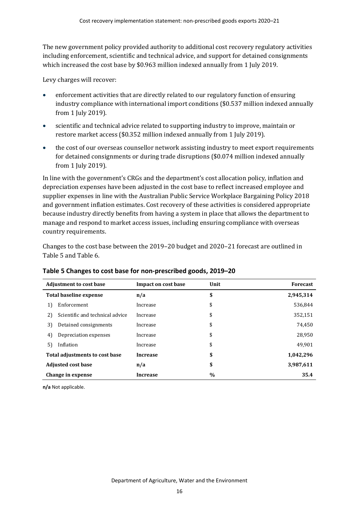The new government policy provided authority to additional cost recovery regulatory activities including enforcement, scientific and technical advice, and support for detained consignments which increased the cost base by \$0.963 million indexed annually from 1 July 2019.

Levy charges will recover:

- enforcement activities that are directly related to our regulatory function of ensuring industry compliance with international import conditions (\$0.537 million indexed annually from 1 July 2019).
- scientific and technical advice related to supporting industry to improve, maintain or restore market access (\$0.352 million indexed annually from 1 July 2019).
- the cost of our overseas counsellor network assisting industry to meet export requirements for detained consignments or during trade disruptions (\$0.074 million indexed annually from 1 July 2019).

In line with the government's CRGs and the department's cost allocation policy, inflation and depreciation expenses have been adjusted in the cost base to reflect increased employee and supplier expenses in line with the Australian Public Service Workplace Bargaining Policy 2018 and government inflation estimates. Cost recovery of these activities is considered appropriate because industry directly benefits from having a system in place that allows the department to manage and respond to market access issues, including ensuring compliance with overseas country requirements.

Changes to the cost base between the 2019–20 budget and 2020–21 forecast are outlined in [Table 5](#page-21-0) and [Table 6.](#page-22-3)

| <b>Adjustment to cost base</b> |                                 | Impact on cost base | Unit | <b>Forecast</b> |
|--------------------------------|---------------------------------|---------------------|------|-----------------|
| Total baseline expense         |                                 | n/a                 | \$   | 2,945,314       |
| 1)                             | Enforcement                     | Increase            | \$   | 536,844         |
| 2)                             | Scientific and technical advice | Increase            | \$   | 352,151         |
| 3)                             | Detained consignments           | Increase            | \$   | 74,450          |
| 4)                             | Depreciation expenses           | Increase            | \$   | 28,950          |
| 5)                             | Inflation                       | Increase            | \$   | 49,901          |
| Total adjustments to cost base |                                 | <b>Increase</b>     | \$   | 1,042,296       |
| <b>Adjusted cost base</b>      |                                 | n/a                 | \$   | 3,987,611       |
| Change in expense              |                                 | <b>Increase</b>     | $\%$ | 35.4            |

#### <span id="page-21-0"></span>**Table 5 Changes to cost base for non-prescribed goods, 2019–20**

**n/a** Not applicable.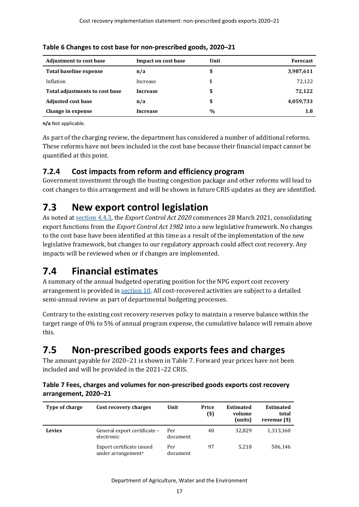| <b>Adjustment to cost base</b> | Impact on cost base | Unit | <b>Forecast</b> |
|--------------------------------|---------------------|------|-----------------|
| Total baseline expense         | n/a                 | \$   | 3,987,611       |
| Inflation                      | Increase            | \$   | 72,122          |
| Total adjustments to cost base | <b>Increase</b>     | \$   | 72,122          |
| <b>Adjusted cost base</b>      | n/a                 | \$   | 4,059,733       |
| Change in expense              | Increase            | $\%$ | 1.8             |

<span id="page-22-3"></span>**Table 6 Changes to cost base for non-prescribed goods, 2020–21**

**n/a** Not applicable.

As part of the charging review, the department has considered a number of additional reforms. These reforms have not been included in the cost base because their financial impact cannot be quantified at this point.

### **7.2.4 Cost impacts from reform and efficiency program**

Government investment through the busting congestion package and other reforms will lead to cost changes to this arrangement and will be shown in future CRIS updates as they are identified.

## <span id="page-22-0"></span>**7.3 New export control legislation**

As noted at section 4.4.3, the *Export Control Act 2020* commences 28 March 2021, consolidating export functions from the *Export Control Act 1982* into a new legislative framework. No changes to the cost base have been identified at this time as a result of the implementation of the new legislative framework, but changes to our regulatory approach could affect cost recovery. Any impacts will be reviewed when or if changes are implemented.

## <span id="page-22-1"></span>**7.4 Financial estimates**

A summary of the annual budgeted operating position for the NPG export cost recovery arrangement is provided in [section 10.](#page-25-0) All cost-recovered activities are subject to a detailed semi-annual review as part of departmental budgeting processes.

Contrary to the existing cost recovery reserves policy to maintain a reserve balance within the target range of 0% to 5% of annual program expense, the cumulative balance will remain above this.

## <span id="page-22-2"></span>**7.5 Non-prescribed goods exports fees and charges**

The amount payable for 2020–21 is shown in [Table 7.](#page-22-4) Forward year prices have not been included and will be provided in the 2021–22 CRIS.

#### <span id="page-22-4"></span>**Table 7 Fees, charges and volumes for non-prescribed goods exports cost recovery arrangement, 2020–21**

| Type of charge | Cost recovery charges                                       | Unit            | Price<br>(\$) | <b>Estimated</b><br>volume<br>(units) | <b>Estimated</b><br>total<br>revenue (\$) |
|----------------|-------------------------------------------------------------|-----------------|---------------|---------------------------------------|-------------------------------------------|
| Levies         | General export certificate -<br>electronic                  | Per<br>document | 40            | 32.829                                | 1,313,160                                 |
|                | Export certificate issued<br>under arrangement <sup>a</sup> | Per<br>document | 97            | 5.218                                 | 506,146                                   |

Department of Agriculture, Water and the Environment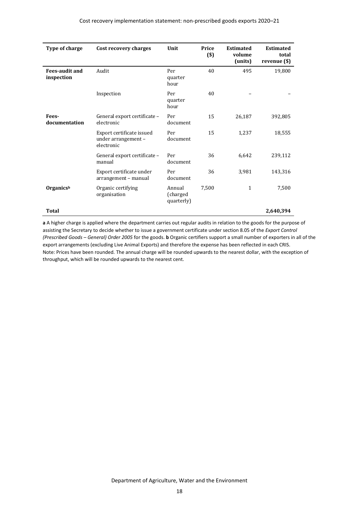| Type of charge                      | Cost recovery charges                                          | Unit                             | Price<br>$($)$ | <b>Estimated</b><br>volume<br>(units) | <b>Estimated</b><br>total<br>revenue (\$) |
|-------------------------------------|----------------------------------------------------------------|----------------------------------|----------------|---------------------------------------|-------------------------------------------|
| <b>Fees-audit and</b><br>inspection | Audit                                                          | Per<br>quarter<br>hour           | 40             | 495                                   | 19,800                                    |
|                                     | Inspection                                                     | Per<br>quarter<br>hour           | 40             |                                       |                                           |
| Fees-<br>documentation              | General export certificate -<br>electronic                     | Per<br>document                  | 15             | 26,187                                | 392,805                                   |
|                                     | Export certificate issued<br>under arrangement -<br>electronic | Per<br>document                  | 15             | 1,237                                 | 18,555                                    |
|                                     | General export certificate -<br>manual                         | Per<br>document                  | 36             | 6,642                                 | 239,112                                   |
|                                     | Export certificate under<br>arrangement – manual               | Per<br>document                  | 36             | 3,981                                 | 143,316                                   |
| Organicsb                           | Organic certifying<br>organisation                             | Annual<br>(charged<br>quarterly) | 7,500          | $\mathbf{1}$                          | 7,500                                     |
| Total                               |                                                                |                                  |                |                                       | 2,640,394                                 |

**a** A higher charge is applied where the department carries out regular audits in relation to the goods for the purpose of assisting the Secretary to decide whether to issue a government certificate under section 8.05 of the *Export Control (Prescribed Goods* – *General) Order 2005* for the goods. **b** Organic certifiers support a small number of exporters in all of the export arrangements (excluding Live Animal Exports) and therefore the expense has been reflected in each CRIS. Note: Prices have been rounded. The annual charge will be rounded upwards to the nearest dollar, with the exception of throughput, which will be rounded upwards to the nearest cent.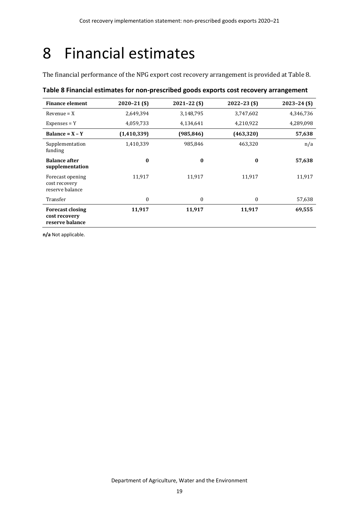## <span id="page-24-0"></span>8 Financial estimates

The financial performance of the NPG export cost recovery arrangement is provided a[t Table 8.](#page-24-1)

| <b>Finance element</b>                                      | $2020 - 21$ (\$) | $2021 - 22($ \$) | $2022 - 23$ (\$) | $2023 - 24$ (\$) |
|-------------------------------------------------------------|------------------|------------------|------------------|------------------|
| $Revenue = X$                                               | 2,649,394        | 3,148,795        | 3,747,602        | 4,346,736        |
| $Expenses = Y$                                              | 4,059,733        | 4,134,641        | 4,210,922        | 4,289,098        |
| Balance = $X - Y$                                           | (1,410,339)      | (985, 846)       | (463, 320)       | 57,638           |
| Supplementation<br>funding                                  | 1,410,339        | 985,846          | 463,320          | n/a              |
| <b>Balance after</b><br>supplementation                     | $\bf{0}$         | $\bf{0}$         | $\bf{0}$         | 57,638           |
| Forecast opening<br>cost recovery<br>reserve balance        | 11,917           | 11,917           | 11,917           | 11,917           |
| Transfer                                                    | $\mathbf{0}$     | $\theta$         | $\mathbf{0}$     | 57,638           |
| <b>Forecast closing</b><br>cost recovery<br>reserve balance | 11,917           | 11,917           | 11,917           | 69,555           |

#### <span id="page-24-1"></span>**Table 8 Financial estimates for non-prescribed goods exports cost recovery arrangement**

**n/a** Not applicable.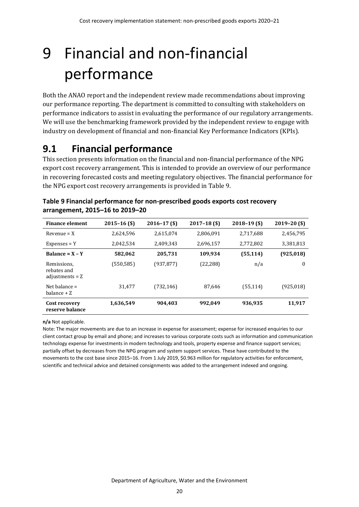# <span id="page-25-0"></span>9 Financial and non-financial performance

Both the ANAO report and the independent review made recommendations about improving our performance reporting. The department is committed to consulting with stakeholders on performance indicators to assist in evaluating the performance of our regulatory arrangements. We will use the benchmarking framework provided by the independent review to engage with industry on development of financial and non-financial Key Performance Indicators (KPIs).

## <span id="page-25-1"></span>**9.1 Financial performance**

This section presents information on the financial and non-financial performance of the NPG export cost recovery arrangement. This is intended to provide an overview of our performance in recovering forecasted costs and meeting regulatory objectives. The financial performance for the NPG export cost recovery arrangements is provided i[n Table 9.](#page-25-2)

| <b>Finance element</b>                          | $2015 - 16$ (\$) | $2016 - 17$ (\$) | $2017 - 18$ (\$) | $2018 - 19$ (\$) | $2019 - 20$ (\$) |
|-------------------------------------------------|------------------|------------------|------------------|------------------|------------------|
| $Revenue = X$                                   | 2,624,596        | 2,615,074        | 2,806,091        | 2,717,688        | 2,456,795        |
| $Expenses = Y$                                  | 2,042,534        | 2,409,343        | 2,696,157        | 2,772,802        | 3,381,813        |
| Balance = $X - Y$                               | 582,062          | 205,731          | 109,934          | (55, 114)        | (925, 018)       |
| Remissions,<br>rebates and<br>adjustments $= 2$ | (550, 585)       | (937,877)        | (22, 288)        | n/a              | $\bf{0}$         |
| Net balance $=$<br>balance $+Z$                 | 31,477           | (732, 146)       | 87,646           | (55, 114)        | (925, 018)       |
| Cost recovery<br>reserve balance                | 1,636,549        | 904.403          | 992.049          | 936,935          | 11,917           |

<span id="page-25-2"></span>**Table 9 Financial performance for non-prescribed goods exports cost recovery arrangement, 2015–16 to 2019–20**

**n/a** Not applicable.

Note: The major movements are due to an increase in expense for assessment; expense for increased enquiries to our client contact group by email and phone; and increases to various corporate costs such as information and communication technology expense for investments in modern technology and tools, property expense and finance support services; partially offset by decreases from the NPG program and system support services. These have contributed to the movements to the cost base since 2015–16. From 1 July 2019, \$0.963 million for regulatory activities for enforcement, scientific and technical advice and detained consignments was added to the arrangement indexed and ongoing.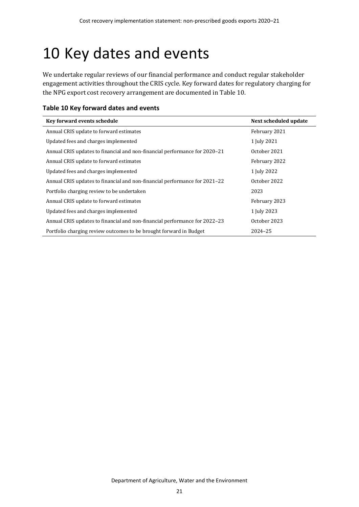## <span id="page-26-0"></span>10 Key dates and events

We undertake regular reviews of our financial performance and conduct regular stakeholder engagement activities throughout the CRIS cycle. Key forward dates for regulatory charging for the NPG export cost recovery arrangement are documented i[n Table 10.](#page-26-1)

<span id="page-26-1"></span>

| Table 10 Key forward dates and events |  |  |  |  |
|---------------------------------------|--|--|--|--|
|---------------------------------------|--|--|--|--|

| Key forward events schedule                                                | Next scheduled update |
|----------------------------------------------------------------------------|-----------------------|
| Annual CRIS update to forward estimates                                    | February 2021         |
| Updated fees and charges implemented                                       | 1 July 2021           |
| Annual CRIS updates to financial and non-financial performance for 2020-21 | October 2021          |
| Annual CRIS update to forward estimates                                    | February 2022         |
| Updated fees and charges implemented                                       | 1 July 2022           |
| Annual CRIS updates to financial and non-financial performance for 2021–22 | October 2022          |
| Portfolio charging review to be undertaken                                 | 2023                  |
| Annual CRIS update to forward estimates                                    | February 2023         |
| Updated fees and charges implemented                                       | 1 July 2023           |
| Annual CRIS updates to financial and non-financial performance for 2022–23 | October 2023          |
| Portfolio charging review outcomes to be brought forward in Budget         | 2024-25               |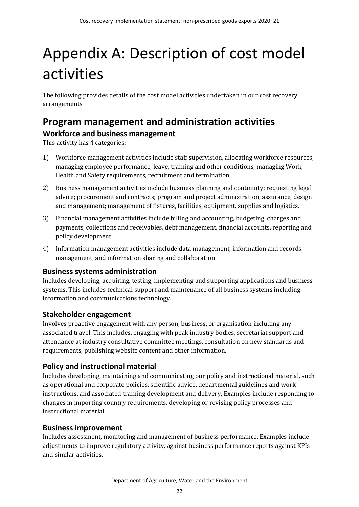# <span id="page-27-0"></span>Appendix A: Description of cost model activities

The following provides details of the cost model activities undertaken in our cost recovery arrangements.

### <span id="page-27-1"></span>**Program management and administration activities Workforce and business management**

This activity has 4 categories:

- 1) Workforce management activities include staff supervision, allocating workforce resources, managing employee performance, leave, training and other conditions, managing Work, Health and Safety requirements, recruitment and termination.
- 2) Business management activities include business planning and continuity; requesting legal advice; procurement and contracts; program and project administration, assurance, design and management; management of fixtures, facilities, equipment, supplies and logistics.
- 3) Financial management activities include billing and accounting, budgeting, charges and payments, collections and receivables, debt management, financial accounts, reporting and policy development.
- 4) Information management activities include data management, information and records management, and information sharing and collaboration.

#### **Business systems administration**

Includes developing, acquiring, testing, implementing and supporting applications and business systems. This includes technical support and maintenance of all business systems including information and communications technology.

### **Stakeholder engagement**

Involves proactive engagement with any person, business, or organisation including any associated travel. This includes, engaging with peak industry bodies, secretariat support and attendance at industry consultative committee meetings, consultation on new standards and requirements, publishing website content and other information.

### **Policy and instructional material**

Includes developing, maintaining and communicating our policy and instructional material, such as operational and corporate policies, scientific advice, departmental guidelines and work instructions, and associated training development and delivery. Examples include responding to changes in importing country requirements, developing or revising policy processes and instructional material.

### **Business improvement**

Includes assessment, monitoring and management of business performance. Examples include adjustments to improve regulatory activity, against business performance reports against KPIs and similar activities.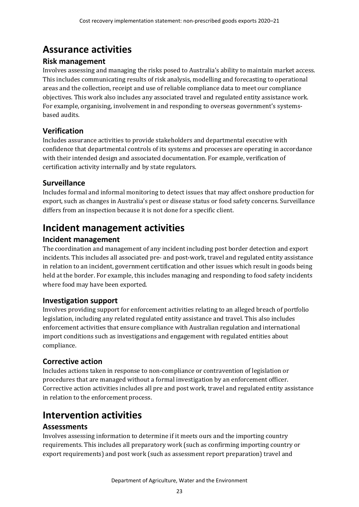## <span id="page-28-0"></span>**Assurance activities**

#### **Risk management**

Involves assessing and managing the risks posed to Australia's ability to maintain market access. This includes communicating results of risk analysis, modelling and forecasting to operational areas and the collection, receipt and use of reliable compliance data to meet our compliance objectives. This work also includes any associated travel and regulated entity assistance work. For example, organising, involvement in and responding to overseas government's systemsbased audits.

### **Verification**

Includes assurance activities to provide stakeholders and departmental executive with confidence that departmental controls of its systems and processes are operating in accordance with their intended design and associated documentation. For example, verification of certification activity internally and by state regulators.

### **Surveillance**

Includes formal and informal monitoring to detect issues that may affect onshore production for export, such as changes in Australia's pest or disease status or food safety concerns. Surveillance differs from an inspection because it is not done for a specific client.

## <span id="page-28-1"></span>**Incident management activities**

### **Incident management**

The coordination and management of any incident including post border detection and export incidents. This includes all associated pre- and post-work, travel and regulated entity assistance in relation to an incident, government certification and other issues which result in goods being held at the border. For example, this includes managing and responding to food safety incidents where food may have been exported.

### **Investigation support**

Involves providing support for enforcement activities relating to an alleged breach of portfolio legislation, including any related regulated entity assistance and travel. This also includes enforcement activities that ensure compliance with Australian regulation and international import conditions such as investigations and engagement with regulated entities about compliance.

### **Corrective action**

Includes actions taken in response to non-compliance or contravention of legislation or procedures that are managed without a formal investigation by an enforcement officer. Corrective action activities includes all pre and post work, travel and regulated entity assistance in relation to the enforcement process.

### <span id="page-28-2"></span>**Intervention activities**

### **Assessments**

Involves assessing information to determine if it meets ours and the importing country requirements. This includes all preparatory work (such as confirming importing country or export requirements) and post work (such as assessment report preparation) travel and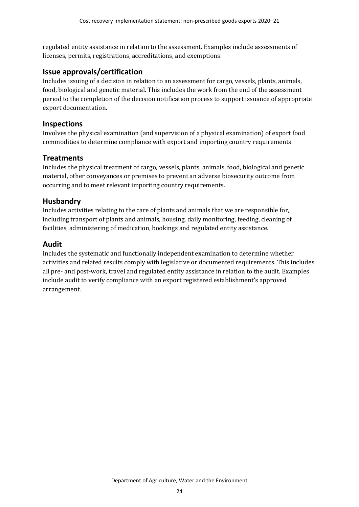regulated entity assistance in relation to the assessment. Examples include assessments of licenses, permits, registrations, accreditations, and exemptions.

#### **Issue approvals/certification**

Includes issuing of a decision in relation to an assessment for cargo, vessels, plants, animals, food, biological and genetic material. This includes the work from the end of the assessment period to the completion of the decision notification process to support issuance of appropriate export documentation.

#### **Inspections**

Involves the physical examination (and supervision of a physical examination) of export food commodities to determine compliance with export and importing country requirements.

#### **Treatments**

Includes the physical treatment of cargo, vessels, plants, animals, food, biological and genetic material, other conveyances or premises to prevent an adverse biosecurity outcome from occurring and to meet relevant importing country requirements.

#### **Husbandry**

Includes activities relating to the care of plants and animals that we are responsible for, including transport of plants and animals, housing, daily monitoring, feeding, cleaning of facilities, administering of medication, bookings and regulated entity assistance.

#### **Audit**

Includes the systematic and functionally independent examination to determine whether activities and related results comply with legislative or documented requirements. This includes all pre- and post-work, travel and regulated entity assistance in relation to the audit. Examples include audit to verify compliance with an export registered establishment's approved arrangement.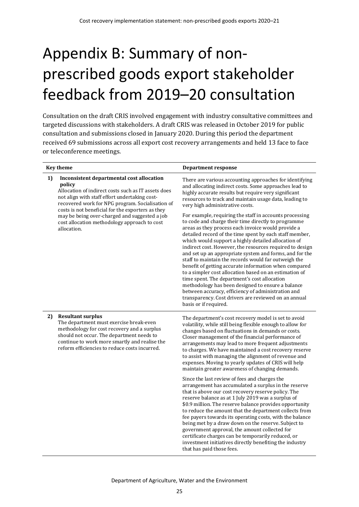# <span id="page-30-0"></span>Appendix B: Summary of nonprescribed goods export stakeholder feedback from 2019–20 consultation

Consultation on the draft CRIS involved engagement with industry consultative committees and targeted discussions with stakeholders. A draft CRIS was released in October 2019 for public consultation and submissions closed in January 2020. During this period the department received 69 submissions across all export cost recovery arrangements and held 13 face to face or teleconference meetings.

|    | <b>Key theme</b>                                                                                                                                                                                                                                                  | <b>Department response</b>                                                                                                                                                                                                                                                                                                                                                                                                                                                                                                                                                                                                                                                                                                                                                                                                           |
|----|-------------------------------------------------------------------------------------------------------------------------------------------------------------------------------------------------------------------------------------------------------------------|--------------------------------------------------------------------------------------------------------------------------------------------------------------------------------------------------------------------------------------------------------------------------------------------------------------------------------------------------------------------------------------------------------------------------------------------------------------------------------------------------------------------------------------------------------------------------------------------------------------------------------------------------------------------------------------------------------------------------------------------------------------------------------------------------------------------------------------|
| 1) | Inconsistent departmental cost allocation<br>policy<br>Allocation of indirect costs such as IT assets does<br>not align with staff effort undertaking cost-<br>recovered work for NPG program. Socialisation of                                                   | There are various accounting approaches for identifying<br>and allocating indirect costs. Some approaches lead to<br>highly accurate results but require very significant<br>resources to track and maintain usage data, leading to<br>very high administrative costs.                                                                                                                                                                                                                                                                                                                                                                                                                                                                                                                                                               |
|    | costs is not beneficial for the exporters as they<br>may be being over-charged and suggested a job<br>cost allocation methodology approach to cost<br>allocation.                                                                                                 | For example, requiring the staff in accounts processing<br>to code and charge their time directly to programme<br>areas as they process each invoice would provide a<br>detailed record of the time spent by each staff member,<br>which would support a highly detailed allocation of<br>indirect cost. However, the resources required to design<br>and set up an appropriate system and forms, and for the<br>staff to maintain the records would far outweigh the<br>benefit of getting accurate information when compared<br>to a simpler cost allocation based on an estimation of<br>time spent. The department's cost allocation<br>methodology has been designed to ensure a balance<br>between accuracy, efficiency of administration and<br>transparency. Cost drivers are reviewed on an annual<br>basis or if required. |
| 2) | <b>Resultant surplus</b><br>The department must exercise break-even<br>methodology for cost recovery and a surplus<br>should not occur. The department needs to<br>continue to work more smartly and realise the<br>reform efficiencies to reduce costs incurred. | The department's cost recovery model is set to avoid<br>volatility, while still being flexible enough to allow for<br>changes based on fluctuations in demands or costs.<br>Closer management of the financial performance of<br>arrangements may lead to more frequent adjustments<br>to charges. We have maintained a cost recovery reserve<br>to assist with managing the alignment of revenue and<br>expenses. Moving to yearly updates of CRIS will help<br>maintain greater awareness of changing demands.                                                                                                                                                                                                                                                                                                                     |
|    |                                                                                                                                                                                                                                                                   | Since the last review of fees and charges the<br>arrangement has accumulated a surplus in the reserve<br>that is above our cost recovery reserve policy. The<br>reserve balance as at 1 July 2019 was a surplus of<br>\$0.9 million. The reserve balance provides opportunity<br>to reduce the amount that the department collects from<br>fee payers towards its operating costs, with the balance<br>being met by a draw down on the reserve. Subject to<br>government approval, the amount collected for<br>certificate charges can be temporarily reduced, or<br>investment initiatives directly benefiting the industry<br>that has paid those fees.                                                                                                                                                                            |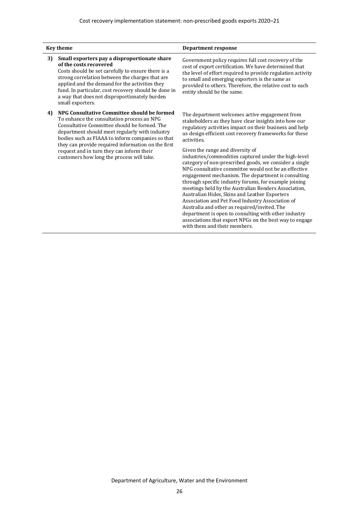|    | <b>Key theme</b>                                                                                                                                                                                                                                                                                                                                                                                | <b>Department response</b>                                                                                                                                                                                                                                                                                                                                                                                                                                                                                                                                                                                                                                                                                                                                                                                                                                                                                                               |
|----|-------------------------------------------------------------------------------------------------------------------------------------------------------------------------------------------------------------------------------------------------------------------------------------------------------------------------------------------------------------------------------------------------|------------------------------------------------------------------------------------------------------------------------------------------------------------------------------------------------------------------------------------------------------------------------------------------------------------------------------------------------------------------------------------------------------------------------------------------------------------------------------------------------------------------------------------------------------------------------------------------------------------------------------------------------------------------------------------------------------------------------------------------------------------------------------------------------------------------------------------------------------------------------------------------------------------------------------------------|
| 3) | Small exporters pay a disproportionate share<br>of the costs recovered<br>Costs should be set carefully to ensure there is a<br>strong correlation between the charges that are<br>applied and the demand for the activities they<br>fund. In particular, cost recovery should be done in<br>a way that does not disproportionately burden<br>small exporters.                                  | Government policy requires full cost recovery of the<br>cost of export certification. We have determined that<br>the level of effort required to provide regulation activity<br>to small and emerging exporters is the same as<br>provided to others. Therefore, the relative cost to each<br>entity should be the same.                                                                                                                                                                                                                                                                                                                                                                                                                                                                                                                                                                                                                 |
| 4) | NPG Consultative Committee should be formed<br>To enhance the consultation process an NPG<br>Consultative Committee should be formed. The<br>department should meet regularly with industry<br>bodies such as FIAAA to inform companies so that<br>they can provide required information on the first<br>request and in turn they can inform their<br>customers how long the process will take. | The department welcomes active engagement from<br>stakeholders as they have clear insights into how our<br>regulatory activities impact on their business and help<br>us design efficient cost recovery frameworks for these<br>activities.<br>Given the range and diversity of<br>industries/commodities captured under the high-level<br>category of non-prescribed goods, we consider a single<br>NPG consultative committee would not be an effective<br>engagement mechanism. The department is consulting<br>through specific industry forums, for example joining<br>meetings held by the Australian Renders Association,<br>Australian Hides, Skins and Leather Exporters<br>Association and Pet Food Industry Association of<br>Australia and other as required/invited. The<br>department is open to consulting with other industry<br>associations that export NPGs on the best way to engage<br>with them and their members. |